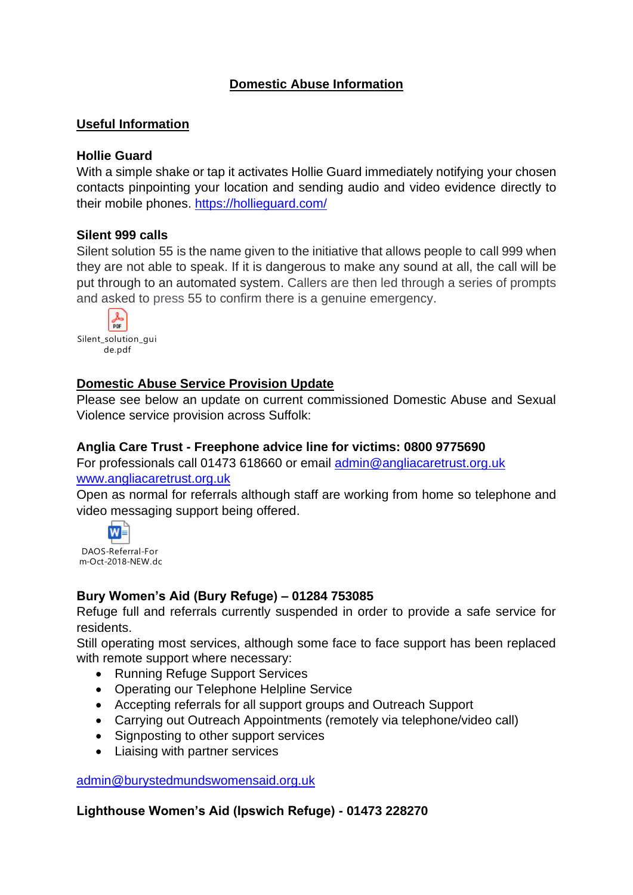### **Domestic Abuse Information**

#### **Useful Information**

#### **Hollie Guard**

With a simple shake or tap it activates Hollie Guard immediately notifying your chosen contacts pinpointing your location and sending audio and video evidence directly to their mobile phones. <https://hollieguard.com/>

#### **Silent 999 calls**

Silent solution 55 is the name given to the initiative that allows people to call 999 when they are not able to speak. If it is dangerous to make any sound at all, the call will be put through to an automated system. Callers are then led through a series of prompts and asked to press 55 to confirm there is a genuine emergency.



#### **Domestic Abuse Service Provision Update**

Please see below an update on current commissioned Domestic Abuse and Sexual Violence service provision across Suffolk:

#### **Anglia Care Trust - Freephone advice line for victims: 0800 9775690**

For professionals call 01473 618660 or email [admin@angliacaretrust.org.uk](mailto:admin@angliacaretrust.org.uk) [www.angliacaretrust.org.uk](http://www.angliacaretrust.org.uk/)

Open as normal for referrals although staff are working from home so telephone and video messaging support being offered.



DAOS-Referral-For m-Oct-2018-NEW.docx

### **Bury Women's Aid (Bury Refuge) – 01284 753085**

Refuge full and referrals currently suspended in order to provide a safe service for residents.

Still operating most services, although some face to face support has been replaced with remote support where necessary:

- Running Refuge Support Services
- Operating our Telephone Helpline Service
- Accepting referrals for all support groups and Outreach Support
- Carrying out Outreach Appointments (remotely via telephone/video call)
- Signposting to other support services
- Liaising with partner services

[admin@burystedmundswomensaid.org.uk](mailto:admin@burystedmundswomensaid.org.uk)

**Lighthouse Women's Aid (Ipswich Refuge) - 01473 228270**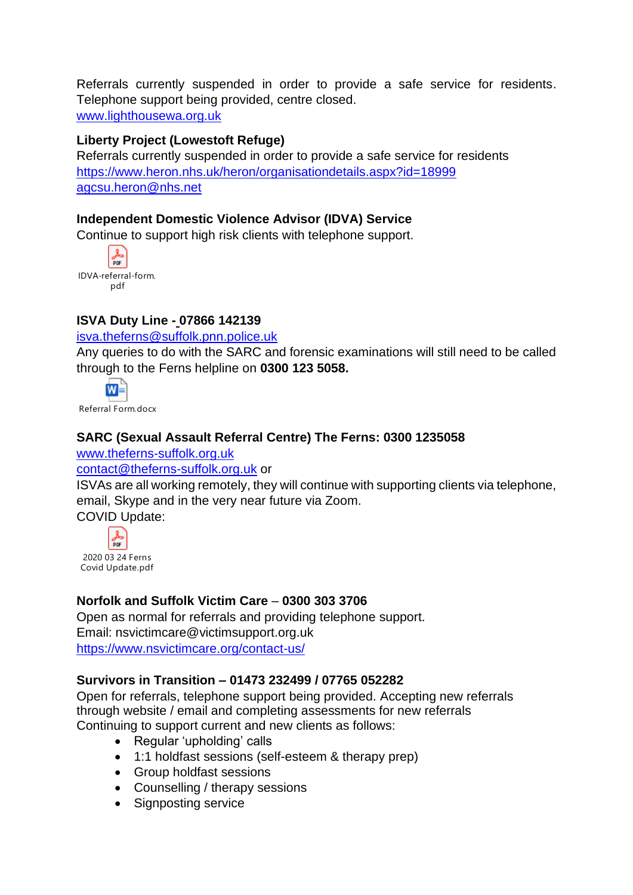Referrals currently suspended in order to provide a safe service for residents. Telephone support being provided, centre closed. [www.lighthousewa.org.uk](http://www.lighthousewa.org.uk/)

### **Liberty Project (Lowestoft Refuge)**

Referrals currently suspended in order to provide a safe service for residents <https://www.heron.nhs.uk/heron/organisationdetails.aspx?id=18999> [agcsu.heron@nhs.net](mailto:agcsu.heron@nhs.net)

### **Independent Domestic Violence Advisor (IDVA) Service**

Continue to support high risk clients with telephone support.



### **ISVA Duty Line - 07866 142139**

#### [isva.theferns@suffolk.pnn.police.uk](mailto:isva.theferns@suffolk.pnn.police.uk)

Any queries to do with the SARC and forensic examinations will still need to be called through to the Ferns helpline on **0300 123 5058.**



Referral Form.docx

### **SARC (Sexual Assault Referral Centre) The Ferns: 0300 1235058**

[www.theferns-suffolk.org.uk](http://www.theferns-suffolk.org.uk/)

#### [contact@theferns-suffolk.org.uk](mailto:contact@theferns-suffolk.org.uk) or

ISVAs are all working remotely, they will continue with supporting clients via telephone, email, Skype and in the very near future via Zoom.

COVID Update:



### **Norfolk and Suffolk Victim Care** – **0300 303 3706**

Open as normal for referrals and providing telephone support. Email: nsvictimcare@victimsupport.org.uk <https://www.nsvictimcare.org/contact-us/>

#### **Survivors in Transition – 01473 232499 / 07765 052282**

Open for referrals, telephone support being provided. Accepting new referrals through website / email and completing assessments for new referrals Continuing to support current and new clients as follows:

- Regular 'upholding' calls
- 1:1 holdfast sessions (self-esteem & therapy prep)
- Group holdfast sessions
- Counselling / therapy sessions
- Signposting service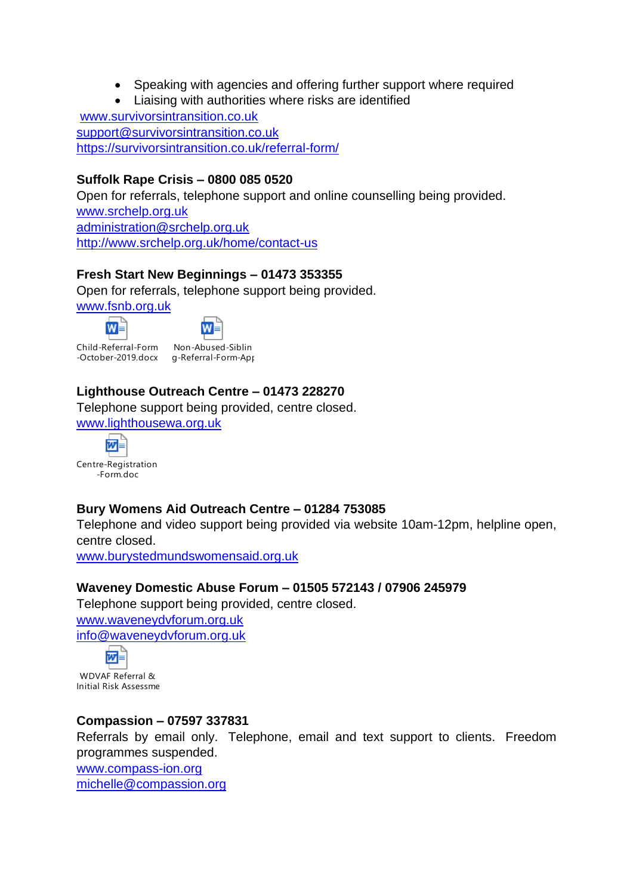- Speaking with agencies and offering further support where required
- Liaising with authorities where risks are identified

[www.survivorsintransition.co.uk](http://www.survivorsintransition.co.uk/) [support@survivorsintransition.co.uk](mailto:support@survivorsintransition.co.uk) <https://survivorsintransition.co.uk/referral-form/>

### **Suffolk Rape Crisis – 0800 085 0520**

Open for referrals, telephone support and online counselling being provided. [www.srchelp.org.uk](http://www.srchelp.org.uk/) [administration@srchelp.org.uk](mailto:administration@srchelp.org.uk) <http://www.srchelp.org.uk/home/contact-us>

### **Fresh Start New Beginnings – 01473 353355**

Open for referrals, telephone support being provided.

[www.fsnb.org.uk](http://www.fsnb.org.uk/)

 $\mathbf{W}$ 



Child-Referral-Form -October-2019.docx



Non-Abused-Siblin g-Referral-Form-App

## **Lighthouse Outreach Centre – 01473 228270**

Telephone support being provided, centre closed.

[www.lighthousewa.org.uk](http://www.lighthousewa.org.uk/)



### **Bury Womens Aid Outreach Centre – 01284 753085**

Telephone and video support being provided via website 10am-12pm, helpline open, centre closed.

[www.burystedmundswomensaid.org.uk](http://www.burystedmundswomensaid.org.uk/)

### **Waveney Domestic Abuse Forum – 01505 572143 / 07906 245979**

Telephone support being provided, centre closed.

[www.waveneydvforum.org.uk](http://www.waveneydvforum.org.uk/) [info@waveneydvforum.org.uk](mailto:info@waveneydvforum.org.uk)



WDVAF Referral & **Initial Risk Assessme** 

### **Compassion – 07597 337831**

Referrals by email only. Telephone, email and text support to clients. Freedom programmes suspended.

[www.compass-ion.org](http://www.compass-ion.org/) [michelle@compassion.org](mailto:michelle@compassion.org)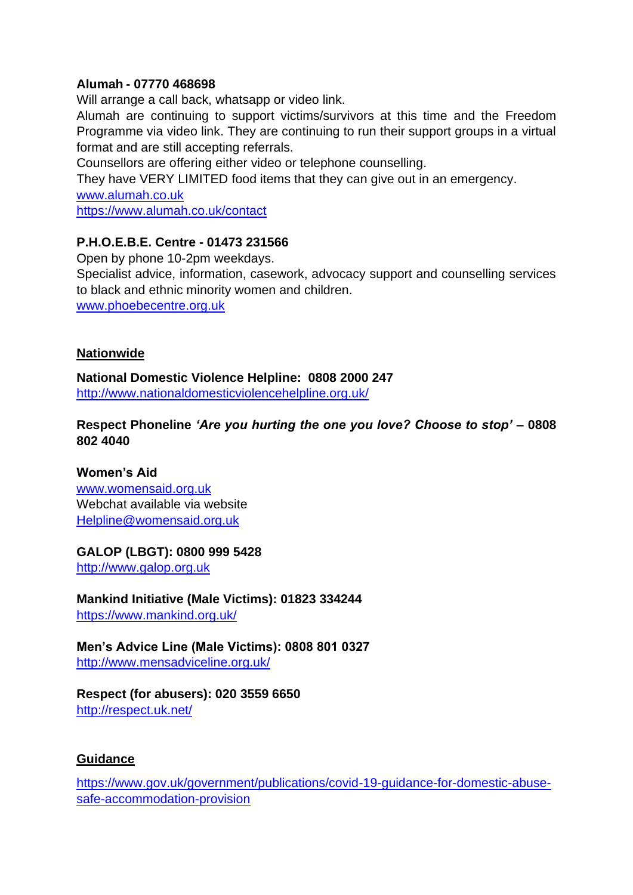#### **Alumah - 07770 468698**

Will arrange a call back, whatsapp or video link.

Alumah are continuing to support victims/survivors at this time and the Freedom Programme via video link. They are continuing to run their support groups in a virtual format and are still accepting referrals.

Counsellors are offering either video or telephone counselling.

They have VERY LIMITED food items that they can give out in an emergency. [www.alumah.co.uk](http://www.alumah.co.uk/)

<https://www.alumah.co.uk/contact>

### **P.H.O.E.B.E. Centre - 01473 231566**

Open by phone 10-2pm weekdays. Specialist advice, information, casework, advocacy support and counselling services to black and ethnic minority women and children. [www.phoebecentre.org.uk](http://www.phoebecentre.org.uk/)

#### **Nationwide**

**National Domestic Violence Helpline: 0808 2000 247**  <http://www.nationaldomesticviolencehelpline.org.uk/>

**Respect Phoneline** *'Are you hurting the one you love? Choose to stop'* **– 0808 802 4040** 

**Women's Aid** [www.womensaid.org.uk](http://www.womensaid.org.uk/) Webchat available via website [Helpline@womensaid.org.uk](mailto:Helpline@womensaid.org.uk)

### **GALOP (LBGT): 0800 999 5428**

[http://www.galop.org.uk](http://www.galop.org.uk/)

**Mankind Initiative (Male Victims): 01823 334244**  <https://www.mankind.org.uk/>

**Men's Advice Line (Male Victims): 0808 801 0327**  <http://www.mensadviceline.org.uk/>

**Respect (for abusers): 020 3559 6650**  <http://respect.uk.net/>

#### **Guidance**

[https://www.gov.uk/government/publications/covid-19-guidance-for-domestic-abuse](https://www.gov.uk/government/publications/covid-19-guidance-for-domestic-abuse-safe-accommodation-provision)[safe-accommodation-provision](https://www.gov.uk/government/publications/covid-19-guidance-for-domestic-abuse-safe-accommodation-provision)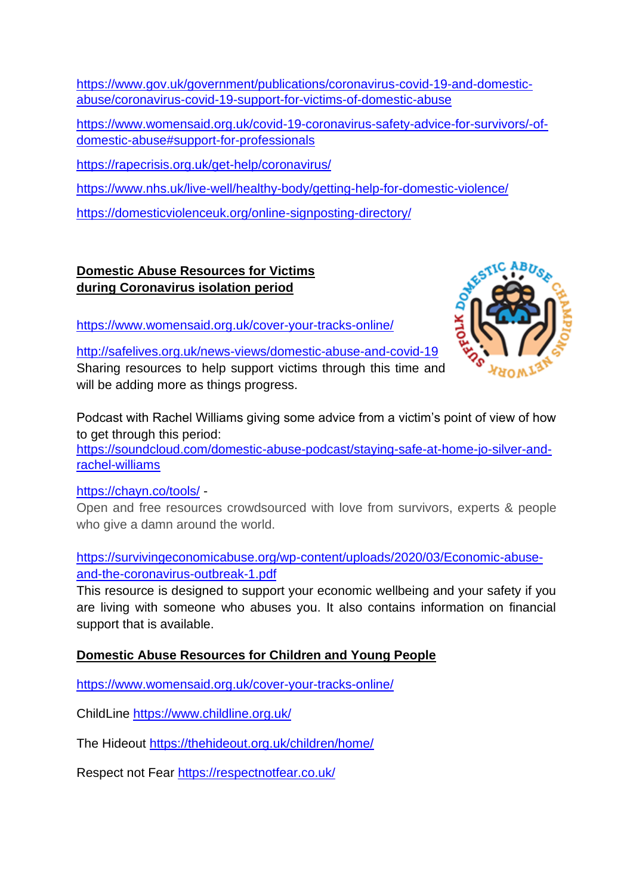[https://www.gov.uk/government/publications/coronavirus-covid-19-and-domestic](https://www.gov.uk/government/publications/coronavirus-covid-19-and-domestic-abuse/coronavirus-covid-19-support-for-victims-of-domestic-abuse)[abuse/coronavirus-covid-19-support-for-victims-of-domestic-abuse](https://www.gov.uk/government/publications/coronavirus-covid-19-and-domestic-abuse/coronavirus-covid-19-support-for-victims-of-domestic-abuse)

[https://www.womensaid.org.uk/covid-19-coronavirus-safety-advice-for-survivors/-](https://www.womensaid.org.uk/covid-19-coronavirus-safety-advice-for-survivors/)ofdomestic-abuse#support-for-professionals

<https://rapecrisis.org.uk/get-help/coronavirus/>

<https://www.nhs.uk/live-well/healthy-body/getting-help-for-domestic-violence/>

<https://domesticviolenceuk.org/online-signposting-directory/>

## **Domestic Abuse Resources for Victims during Coronavirus isolation period**

<https://www.womensaid.org.uk/cover-your-tracks-online/>



<http://safelives.org.uk/news-views/domestic-abuse-and-covid-19> Sharing resources to help support victims through this time and will be adding more as things progress.

Podcast with Rachel Williams giving some advice from a victim's point of view of how to get through this period:

[https://soundcloud.com/domestic-abuse-podcast/staying-safe-at-home-jo-silver-and](https://soundcloud.com/domestic-abuse-podcast/staying-safe-at-home-jo-silver-and-rachel-williams)[rachel-williams](https://soundcloud.com/domestic-abuse-podcast/staying-safe-at-home-jo-silver-and-rachel-williams)

<https://chayn.co/tools/> -

Open and free resources crowdsourced with love from survivors, experts & people who give a damn around the world.

[https://survivingeconomicabuse.org/wp-content/uploads/2020/03/Economic-abuse](https://survivingeconomicabuse.org/wp-content/uploads/2020/03/Economic-abuse-and-the-coronavirus-outbreak-1.pdf)[and-the-coronavirus-outbreak-1.pdf](https://survivingeconomicabuse.org/wp-content/uploads/2020/03/Economic-abuse-and-the-coronavirus-outbreak-1.pdf)

This resource is designed to support your economic wellbeing and your safety if you are living with someone who abuses you. It also contains information on financial support that is available.

## **Domestic Abuse Resources for Children and Young People**

<https://www.womensaid.org.uk/cover-your-tracks-online/>

ChildLine<https://www.childline.org.uk/>

The Hideout <https://thehideout.org.uk/children/home/>

Respect not Fear <https://respectnotfear.co.uk/>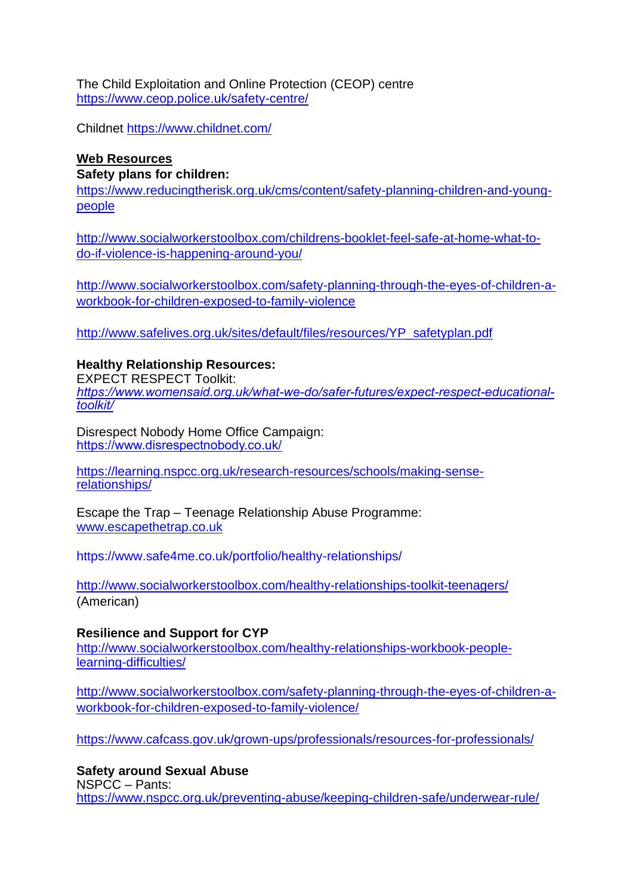The Child Exploitation and Online Protection (CEOP) centre <https://www.ceop.police.uk/safety-centre/>

Childnet <https://www.childnet.com/>

### **Web Resources**

#### **Safety plans for children:**

[https://www.reducingtherisk.org.uk/cms/content/safety-planning-children-and-young](https://www.reducingtherisk.org.uk/cms/content/safety-planning-children-and-young-people)[people](https://www.reducingtherisk.org.uk/cms/content/safety-planning-children-and-young-people)

[http://www.socialworkerstoolbox.com/childrens-booklet-feel-safe-at-home-what-to](http://www.socialworkerstoolbox.com/childrens-booklet-feel-safe-at-home-what-to-do-if-violence-is-happening-around-you/)[do-if-violence-is-happening-around-you/](http://www.socialworkerstoolbox.com/childrens-booklet-feel-safe-at-home-what-to-do-if-violence-is-happening-around-you/)

[http://www.socialworkerstoolbox.com/safety-planning-through-the-eyes-of-children-a](http://www.socialworkerstoolbox.com/safety-planning-through-the-eyes-of-children-a-workbook-for-children-exposed-to-family-violence/)[workbook-for-children-exposed-to-family-violence](http://www.socialworkerstoolbox.com/safety-planning-through-the-eyes-of-children-a-workbook-for-children-exposed-to-family-violence/)

[http://www.safelives.org.uk/sites/default/files/resources/YP\\_safetyplan.pdf](http://www.safelives.org.uk/sites/default/files/resources/YP_safetyplan.pdf)

### **Healthy Relationship Resources:**

EXPECT RESPECT Toolkit: *[https://www.womensaid.org.uk/what-we-do/safer-futures/expect-respect-educational](https://www.womensaid.org.uk/what-we-do/safer-futures/expect-respect-educational-toolkit/)[toolkit/](https://www.womensaid.org.uk/what-we-do/safer-futures/expect-respect-educational-toolkit/)*

Disrespect Nobody Home Office Campaign: <https://www.disrespectnobody.co.uk/>

[https://learning.nspcc.org.uk/research-resources/schools/making-sense](https://learning.nspcc.org.uk/research-resources/schools/making-sense-relationships/)[relationships/](https://learning.nspcc.org.uk/research-resources/schools/making-sense-relationships/)

Escape the Trap – Teenage Relationship Abuse Programme: [www.escapethetrap.co.uk](http://www.escapethetrap.co.uk/)

https://www.safe4me.co.uk/portfolio/healthy-relationships/

<http://www.socialworkerstoolbox.com/healthy-relationships-toolkit-teenagers/> (American)

**Resilience and Support for CYP** [http://www.socialworkerstoolbox.com/healthy-relationships-workbook-people](http://www.socialworkerstoolbox.com/healthy-relationships-workbook-people-learning-difficulties/)[learning-difficulties/](http://www.socialworkerstoolbox.com/healthy-relationships-workbook-people-learning-difficulties/)

[http://www.socialworkerstoolbox.com/safety-planning-through-the-eyes-of-children-a](http://www.socialworkerstoolbox.com/safety-planning-through-the-eyes-of-children-a-workbook-for-children-exposed-to-family-violence/)[workbook-for-children-exposed-to-family-violence/](http://www.socialworkerstoolbox.com/safety-planning-through-the-eyes-of-children-a-workbook-for-children-exposed-to-family-violence/)

<https://www.cafcass.gov.uk/grown-ups/professionals/resources-for-professionals/>

**Safety around Sexual Abuse** 

NSPCC – Pants: <https://www.nspcc.org.uk/preventing-abuse/keeping-children-safe/underwear-rule/>